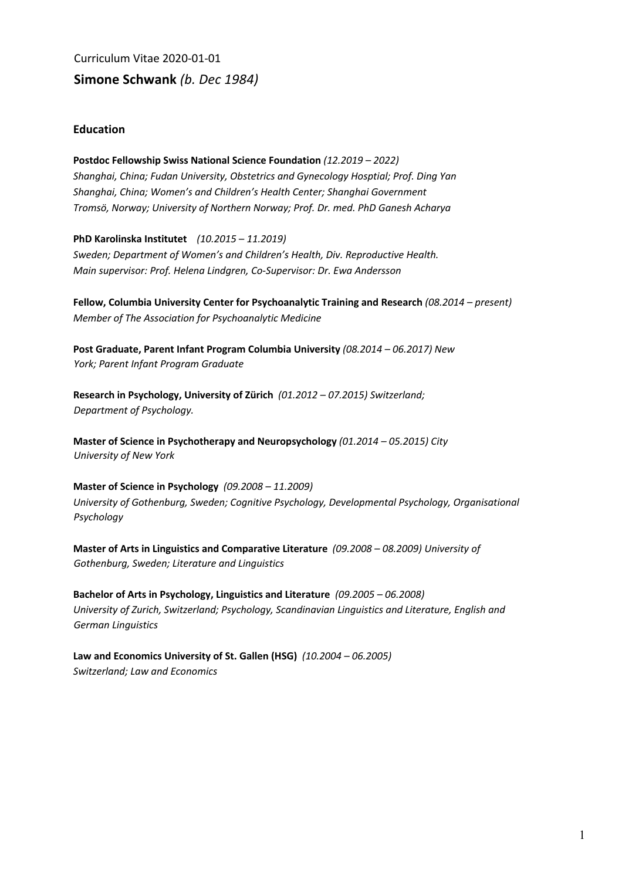Curriculum Vitae 2020-01-01 **Simone Schwank** *(b. Dec 1984)* 

## **Education**

**Postdoc Fellowship Swiss National Science Foundation** *(12.2019 – 2022) Shanghai, China; Fudan University, Obstetrics and Gynecology Hosptial; Prof. Ding Yan Shanghai, China; Women's and Children's Health Center; Shanghai Government Tromsö, Norway; University of Northern Norway; Prof. Dr. med. PhD Ganesh Acharya* 

**PhD Karolinska Institutet** *(10.2015 – 11.2019) Sweden; Department of Women's and Children's Health, Div. Reproductive Health. Main supervisor: Prof. Helena Lindgren, Co-Supervisor: Dr. Ewa Andersson* 

**Fellow, Columbia University Center for Psychoanalytic Training and Research** *(08.2014 – present) Member of The Association for Psychoanalytic Medicine*

**Post Graduate, Parent Infant Program Columbia University** *(08.2014 – 06.2017) New York; Parent Infant Program Graduate* 

**Research in Psychology, University of Zürich** *(01.2012 – 07.2015) Switzerland; Department of Psychology.* 

**Master of Science in Psychotherapy and Neuropsychology** *(01.2014 – 05.2015) City University of New York* 

**Master of Science in Psychology** *(09.2008 – 11.2009) University of Gothenburg, Sweden; Cognitive Psychology, Developmental Psychology, Organisational Psychology* 

**Master of Arts in Linguistics and Comparative Literature** *(09.2008 – 08.2009) University of Gothenburg, Sweden; Literature and Linguistics* 

**Bachelor of Arts in Psychology, Linguistics and Literature** *(09.2005 – 06.2008) University of Zurich, Switzerland; Psychology, Scandinavian Linguistics and Literature, English and German Linguistics* 

**Law and Economics University of St. Gallen (HSG)** *(10.2004 – 06.2005) Switzerland; Law and Economics*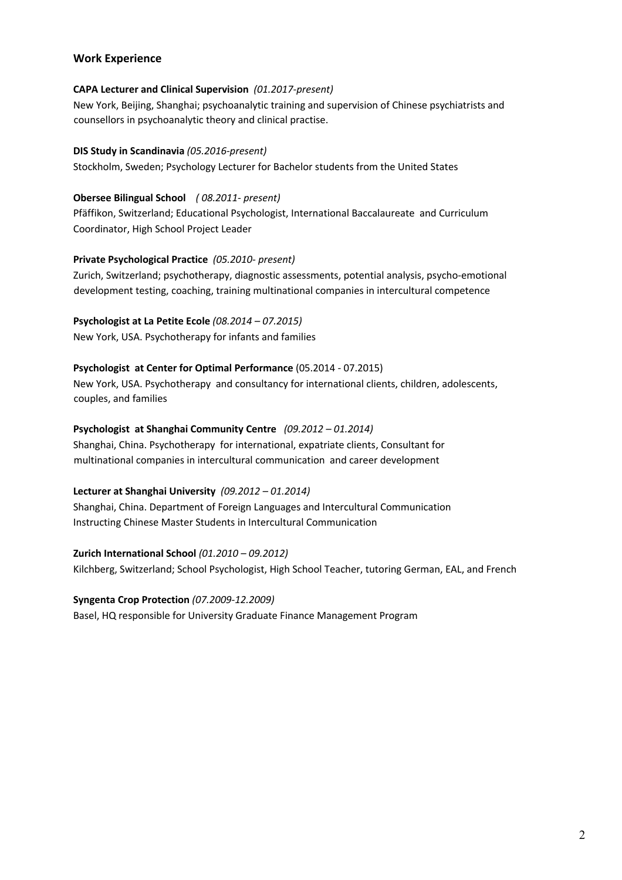# **Work Experience**

## **CAPA Lecturer and Clinical Supervision** *(01.2017-present)*

New York, Beijing, Shanghai; psychoanalytic training and supervision of Chinese psychiatrists and counsellors in psychoanalytic theory and clinical practise.

### **DIS Study in Scandinavia** *(05.2016-present)*

Stockholm, Sweden; Psychology Lecturer for Bachelor students from the United States

## **Obersee Bilingual School** *( 08.2011- present)*

Pfäffikon, Switzerland; Educational Psychologist, International Baccalaureate and Curriculum Coordinator, High School Project Leader

## **Private Psychological Practice** *(05.2010- present)*

Zurich, Switzerland; psychotherapy, diagnostic assessments, potential analysis, psycho-emotional development testing, coaching, training multinational companies in intercultural competence

**Psychologist at La Petite Ecole** *(08.2014 – 07.2015)* New York, USA. Psychotherapy for infants and families

## **Psychologist at Center for Optimal Performance** (05.2014 - 07.2015)

New York, USA. Psychotherapy and consultancy for international clients, children, adolescents, couples, and families

## **Psychologist at Shanghai Community Centre** *(09.2012 – 01.2014)*

Shanghai, China. Psychotherapy for international, expatriate clients, Consultant for multinational companies in intercultural communication and career development

#### **Lecturer at Shanghai University** *(09.2012 – 01.2014)*

Shanghai, China. Department of Foreign Languages and Intercultural Communication Instructing Chinese Master Students in Intercultural Communication

#### **Zurich International School** *(01.2010 – 09.2012)*

Kilchberg, Switzerland; School Psychologist, High School Teacher, tutoring German, EAL, and French

## **Syngenta Crop Protection** *(07.2009-12.2009)*

Basel, HQ responsible for University Graduate Finance Management Program